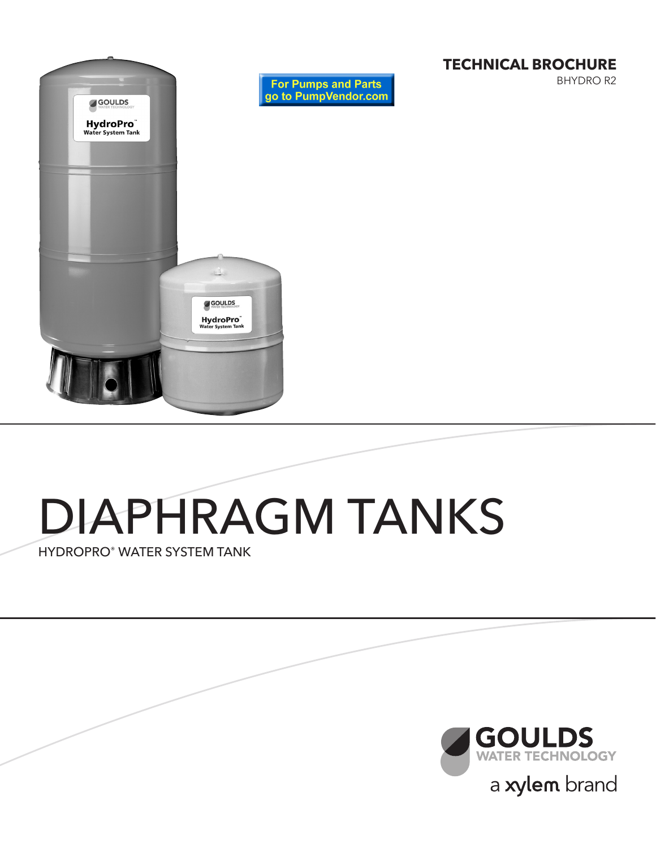

### **TECHNICAL BROCHURE**

BHYDRO R2

# DIAPHRAGM TANKS

HYDROPRO® WATER SYSTEM TANK

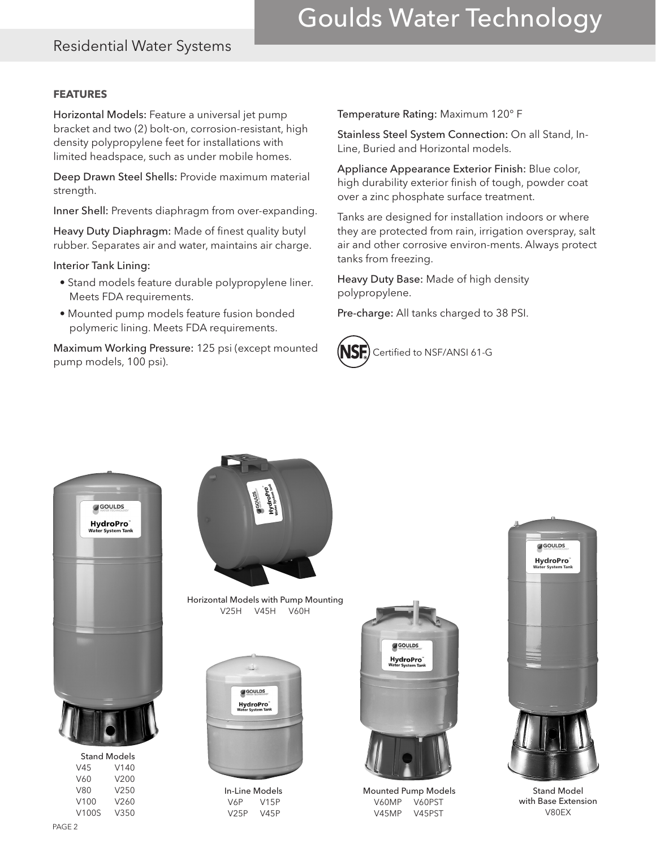## Goulds Water Technology

### Residential Water Systems

#### **FEATURES**

Horizontal Models: Feature a universal jet pump bracket and two (2) bolt-on, corrosion-resistant, high density polypropylene feet for installations with limited headspace, such as under mobile homes.

Deep Drawn Steel Shells: Provide maximum material strength.

Inner Shell: Prevents diaphragm from over-expanding.

Heavy Duty Diaphragm: Made of finest quality butyl rubber. Separates air and water, maintains air charge.

Interior Tank Lining:

- Stand models feature durable polypropylene liner. Meets FDA requirements.
- Mounted pump models feature fusion bonded polymeric lining. Meets FDA requirements.

Maximum Working Pressure: 125 psi (except mounted **NSF)** Certified to NSF/ANSI 61-G<br>pump models, 100 psi).

Temperature Rating: Maximum 120° F

Stainless Steel System Connection: On all Stand, In-Line, Buried and Horizontal models.

Appliance Appearance Exterior Finish: Blue color, high durability exterior finish of tough, powder coat over a zinc phosphate surface treatment.

Tanks are designed for installation indoors or where they are protected from rain, irrigation overspray, salt air and other corrosive environ-ments. Always protect tanks from freezing.

Heavy Duty Base: Made of high density polypropylene.

Pre-charge: All tanks charged to 38 PSI.





V45 V140 V60 V200 V80 V250 V100 V260 V100S V350



Horizontal Models with Pump Mounting V25H V45H V60H



In-Line Models V6P V15P V25P V45P



Mounted Pump Models V60MP V60PST V45MP V45PST



Stand Model with Base Extension V80EX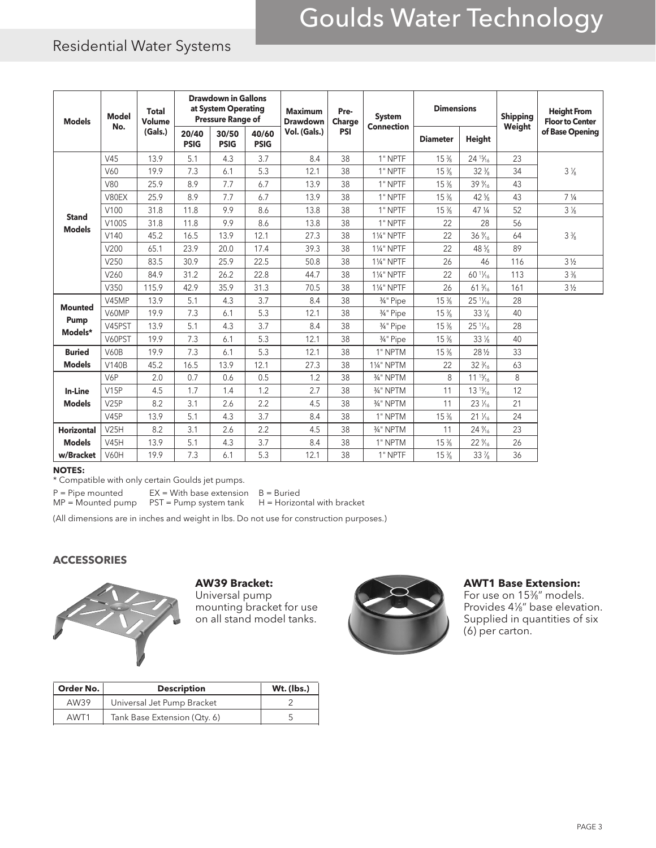# Goulds Water Technology

## Residential Water Systems

| <b>Models</b>                     | <b>Model</b><br>No. | <b>Total</b><br><b>Volume</b><br>(Gals.) | <b>Drawdown in Gallons</b><br>at System Operating<br><b>Pressure Range of</b> |                      |                      | <b>Maximum</b><br><b>Drawdown</b> | Pre-<br>Charge | <b>System</b><br><b>Connection</b> | <b>Dimensions</b>              |                                | <b>Shipping</b><br>Weight | <b>Height From</b><br><b>Floor to Center</b> |  |
|-----------------------------------|---------------------|------------------------------------------|-------------------------------------------------------------------------------|----------------------|----------------------|-----------------------------------|----------------|------------------------------------|--------------------------------|--------------------------------|---------------------------|----------------------------------------------|--|
|                                   |                     |                                          | 20/40<br><b>PSIG</b>                                                          | 30/50<br><b>PSIG</b> | 40/60<br><b>PSIG</b> | Vol. (Gals.)                      | <b>PSI</b>     |                                    | <b>Diameter</b>                | <b>Height</b>                  |                           | of Base Opening                              |  |
|                                   | V45                 | 13.9                                     | 5.1                                                                           | 4.3                  | 3.7                  | 8.4                               | 38             | 1" NPTF                            | $15\frac{3}{8}$                | $24^{15}/_{16}$                | 23                        | $3\frac{1}{8}$                               |  |
|                                   | V60                 | 19.9                                     | 7.3                                                                           | 6.1                  | 5.3                  | 12.1                              | 38             | 1" NPTF                            | $15\frac{3}{8}$                | $32\frac{3}{8}$                | 34                        |                                              |  |
|                                   | V80                 | 25.9                                     | 8.9                                                                           | 7.7                  | 6.7                  | 13.9                              | 38             | 1" NPTF                            | $15\frac{3}{8}$                | $39\%$                         | 43                        |                                              |  |
|                                   | V80EX               | 25.9                                     | 8.9                                                                           | 7.7                  | 6.7                  | 13.9                              | 38             | 1" NPTF                            | $15\%$                         | 42 <sup>5</sup> / <sub>8</sub> | 43                        | 7 <sup>1</sup> / <sub>4</sub>                |  |
|                                   | V100                | 31.8                                     | 11.8                                                                          | 9.9                  | 8.6                  | 13.8                              | 38             | 1" NPTF                            | $15\frac{3}{8}$                | 47 1/4                         | 52                        | $3\frac{1}{8}$                               |  |
| <b>Stand</b><br><b>Models</b>     | V100S               | 31.8                                     | 11.8                                                                          | 9.9                  | 8.6                  | 13.8                              | 38             | 1" NPTF                            | 22                             | 28                             | 56                        | $3\frac{3}{8}$                               |  |
|                                   | V140                | 45.2                                     | 16.5                                                                          | 13.9                 | 12.1                 | 27.3                              | 38             | <b>11/4" NPTF</b>                  | 22                             | $36\%$                         | 64                        |                                              |  |
|                                   | V200                | 65.1                                     | 23.9                                                                          | 20.0                 | 17.4                 | 39.3                              | 38             | 11/4" NPTF                         | 22                             | 48 %                           | 89                        |                                              |  |
|                                   | V250                | 83.5                                     | 30.9                                                                          | 25.9                 | 22.5                 | 50.8                              | 38             | <b>11/4" NPTF</b>                  | 26                             | 46                             | 116                       | $3\frac{1}{2}$                               |  |
|                                   | V260                | 84.9                                     | 31.2                                                                          | 26.2                 | 22.8                 | 44.7                              | 38             | <b>11/4" NPTF</b>                  | 22                             | $60\frac{11}{16}$              | 113                       | $3\frac{3}{8}$                               |  |
|                                   | V350                | 115.9                                    | 42.9                                                                          | 35.9                 | 31.3                 | 70.5                              | 38             | <b>11/4" NPTF</b>                  | 26                             | $61\frac{5}{16}$               | 161                       | $3\frac{1}{2}$                               |  |
|                                   | V45MP               | 13.9                                     | 5.1                                                                           | 4.3                  | 3.7                  | 8.4                               | 38             | 3/4" Pipe                          | $15\frac{3}{8}$                | $25\frac{11}{16}$              | 28                        |                                              |  |
| <b>Mounted</b><br>Pump<br>Models* | V60MP               | 19.9                                     | 7.3                                                                           | 6.1                  | 5.3                  | 12.1                              | 38             | 3/4" Pipe                          | $15\frac{3}{8}$                | $33\%$                         | 40                        |                                              |  |
|                                   | V45PST              | 13.9                                     | 5.1                                                                           | 4.3                  | 3.7                  | 8.4                               | 38             | 3/4" Pipe                          | $15\frac{3}{8}$                | $25\frac{11}{16}$              | 28                        |                                              |  |
|                                   | V60PST              | 19.9                                     | 7.3                                                                           | 6.1                  | 5.3                  | 12.1                              | 38             | 3/4" Pipe                          | $15\%$                         | $33\%$                         | 40                        |                                              |  |
| <b>Buried</b>                     | <b>V60B</b>         | 19.9                                     | 7.3                                                                           | 6.1                  | 5.3                  | 12.1                              | 38             | 1" NPTM                            | 15 <sup>3</sup> / <sub>8</sub> | 28 1/2                         | 33                        |                                              |  |
| <b>Models</b>                     | <b>V140B</b>        | 45.2                                     | 16.5                                                                          | 13.9                 | 12.1                 | 27.3                              | 38             | 11/4" NPTM                         | 22                             | $32\frac{3}{16}$               | 63                        |                                              |  |
| <b>In-Line</b><br><b>Models</b>   | V6P                 | 2.0                                      | 0.7                                                                           | 0.6                  | 0.5                  | 1.2                               | 38             | 3/4" NPTM                          | 8                              | $11^{15}/_{16}$                | 8                         |                                              |  |
|                                   | V15P                | 4.5                                      | 1.7                                                                           | 1.4                  | 1.2                  | 2.7                               | 38             | 3/ <sub>4</sub> " NPTM             | 11                             | $13^{15}/_{16}$                | 12                        |                                              |  |
|                                   | V25P                | 8.2                                      | 3.1                                                                           | 2.6                  | 2.2                  | 4.5                               | 38             | 3/ <sub>4</sub> " NPTM             | 11                             | $23\frac{1}{16}$               | 21                        |                                              |  |
|                                   | V45P                | 13.9                                     | 5.1                                                                           | 4.3                  | 3.7                  | 8.4                               | 38             | 1" NPTM                            | $15\frac{3}{8}$                | $21\frac{1}{16}$               | 24                        |                                              |  |
| <b>Horizontal</b>                 | <b>V25H</b>         | 8.2                                      | 3.1                                                                           | 2.6                  | 2.2                  | 4.5                               | 38             | 3/4" NPTM                          | 11                             | $24\%$                         | 23                        |                                              |  |
| <b>Models</b>                     | <b>V45H</b>         | 13.9                                     | 5.1                                                                           | 4.3                  | 3.7                  | 8.4                               | 38             | 1" NPTM                            | $15\frac{3}{8}$                | 22 %                           | 26                        |                                              |  |
| w/Bracket                         | <b>V60H</b>         | 19.9                                     | 7.3                                                                           | 6.1                  | 5.3                  | 12.1                              | 38             | 1" NPTF                            | 15 %                           | 33 %                           | 36                        |                                              |  |

#### **NOTES:**

\* Compatible with only certain Goulds jet pumps.

 $P =$  Pipe mounted EX = With base extension  $B =$  Buried

 $MP = Mounted pump$   $PST = Pump$  system tank  $H = Horizontal$  with bracket

(All dimensions are in inches and weight in lbs. Do not use for construction purposes.)

#### **ACCESSORIES**



#### **AW39 Bracket:**

Universal pump mounting bracket for use on all stand model tanks.



#### **AWT1 Base Extension:**

For use on 153⁄8" models. Provides 41⁄8" base elevation. Supplied in quantities of six (6) per carton.

| Order No. | <b>Description</b>           | Wt. (lbs.) |  |  |
|-----------|------------------------------|------------|--|--|
| AW39      | Universal Jet Pump Bracket   |            |  |  |
| AWT1      | Tank Base Extension (Qty. 6) |            |  |  |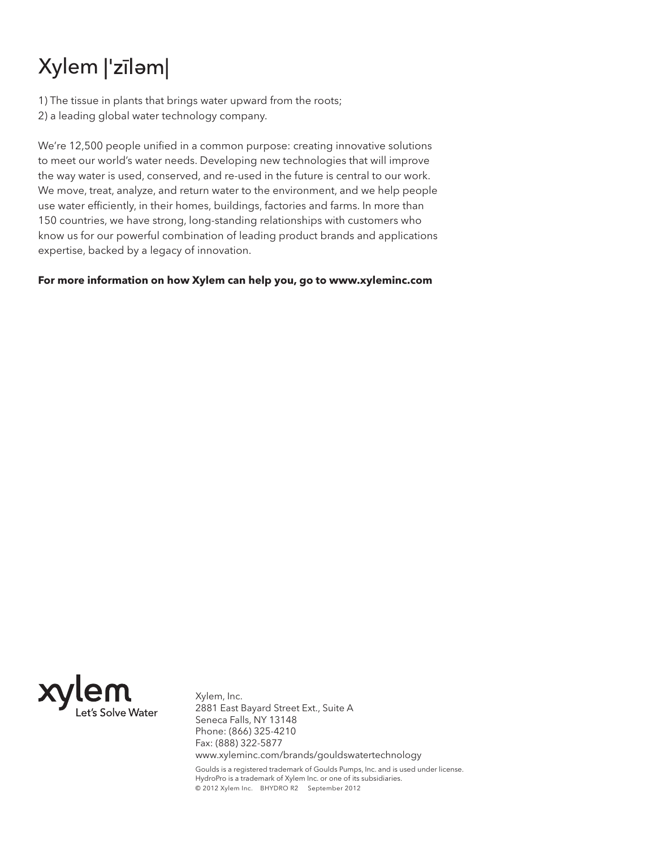## Xylem |'zīlam|

1) The tissue in plants that brings water upward from the roots; 2) a leading global water technology company.

We're 12,500 people unified in a common purpose: creating innovative solutions to meet our world's water needs. Developing new technologies that will improve the way water is used, conserved, and re-used in the future is central to our work. We move, treat, analyze, and return water to the environment, and we help people use water efficiently, in their homes, buildings, factories and farms. In more than 150 countries, we have strong, long-standing relationships with customers who know us for our powerful combination of leading product brands and applications expertise, backed by a legacy of innovation.

**For more information on how Xylem can help you, go to www.xyleminc.com**



Xylem, Inc. 2881 East Bayard Street Ext., Suite A Seneca Falls, NY 13148 Phone: (866) 325-4210 Fax: (888) 322-5877 www.xyleminc.com/brands/gouldswatertechnology

Goulds is a registered trademark of Goulds Pumps, Inc. and is used under license. HydroPro is a trademark of Xylem Inc. or one of its subsidiaries. © 2012 Xylem Inc. BHYDRO R2 September 2012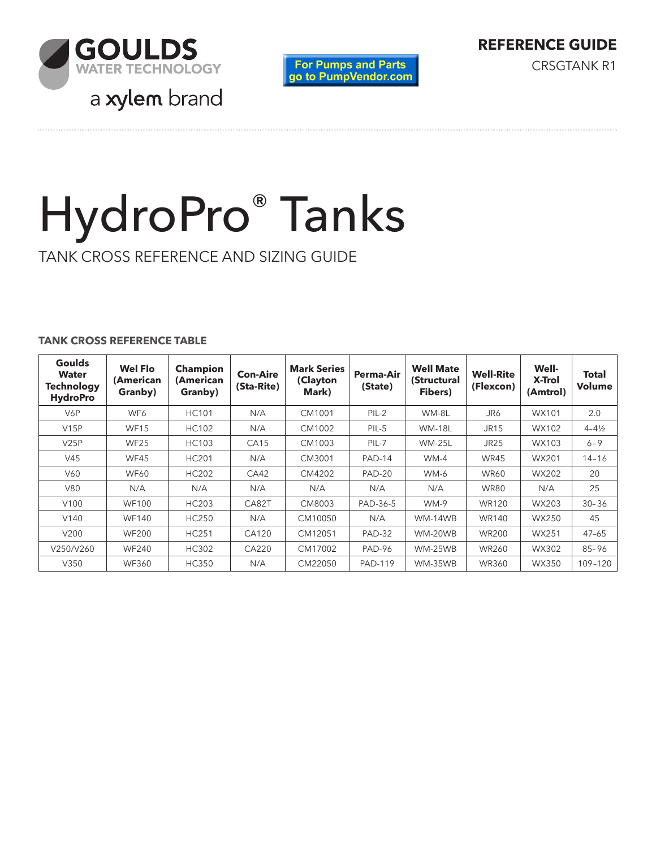





# HydroPro® Tanks

TANK CROSS REFERENCE AND SIZING GUIDE

#### **TANK CROSS REFERENCE TABLE**

| <b>Goulds</b><br><b>Water</b><br><b>Technology</b><br><b>HydroPro</b> | <b>Wel Flo</b><br>(American<br>Granby) | <b>Champion</b><br>(American<br>Granby) | <b>Con-Aire</b><br>(Sta-Rite) | <b>Mark Series</b><br>(Clayton<br>Mark) | <b>Perma-Air</b><br>(State) | <b>Well Mate</b><br>(Structural<br>Fibers) | <b>Well-Rite</b><br>(Flexcon) | Well-<br>X-Trol<br>(Amtrol) | <b>Total</b><br><b>Volume</b> |
|-----------------------------------------------------------------------|----------------------------------------|-----------------------------------------|-------------------------------|-----------------------------------------|-----------------------------|--------------------------------------------|-------------------------------|-----------------------------|-------------------------------|
| V6P                                                                   | WF6                                    | <b>HC101</b>                            | N/A                           | CM1001                                  | $PIL-2$                     | WM-8L                                      | JR6                           | WX101                       | 2.0                           |
| V15P                                                                  | <b>WF15</b>                            | <b>HC102</b>                            | N/A                           | CM1002                                  | PIL-5                       | <b>WM-18L</b>                              | <b>JR15</b>                   | WX102                       | $4 - 4\frac{1}{2}$            |
| V25P                                                                  | <b>WF25</b>                            | <b>HC103</b>                            | CA15                          | CM1003                                  | PIL-7                       | <b>WM-25L</b>                              | <b>JR25</b>                   | WX103                       | $6 - 9$                       |
| V45                                                                   | WF45                                   | <b>HC201</b>                            | N/A                           | CM3001                                  | <b>PAD-14</b>               | $WM-4$                                     | <b>WR45</b>                   | WX201                       | $14 - 16$                     |
| V60                                                                   | <b>WF60</b>                            | <b>HC202</b>                            | CA42                          | CM4202                                  | <b>PAD-20</b>               | WM-6                                       | <b>WR60</b>                   | WX202                       | 20                            |
| V80                                                                   | N/A                                    | N/A                                     | N/A                           | N/A                                     | N/A                         | N/A                                        | <b>WR80</b>                   | N/A                         | 25                            |
| V100                                                                  | <b>WF100</b>                           | <b>HC203</b>                            | CA82T                         | CM8003                                  | PAD-36-5                    | <b>WM-9</b>                                | <b>WR120</b>                  | WX203                       | $30 - 36$                     |
| V <sub>140</sub>                                                      | <b>WF140</b>                           | <b>HC250</b>                            | N/A                           | CM10050                                 | N/A                         | WM-14WB                                    | <b>WR140</b>                  | WX250                       | 45                            |
| V200                                                                  | <b>WF200</b>                           | <b>HC251</b>                            | CA120                         | CM12051                                 | <b>PAD-32</b>               | WM-20WB                                    | <b>WR200</b>                  | <b>WX251</b>                | $47 - 65$                     |
| V250/V260                                                             | <b>WF240</b>                           | <b>HC302</b>                            | CA220                         | CM17002                                 | <b>PAD-96</b>               | WM-25WB                                    | <b>WR260</b>                  | WX302                       | $85 - 96$                     |
| V350                                                                  | <b>WF360</b>                           | <b>HC350</b>                            | N/A                           | CM22050                                 | <b>PAD-119</b>              | WM-35WB                                    | <b>WR360</b>                  | WX350                       | 109-120                       |